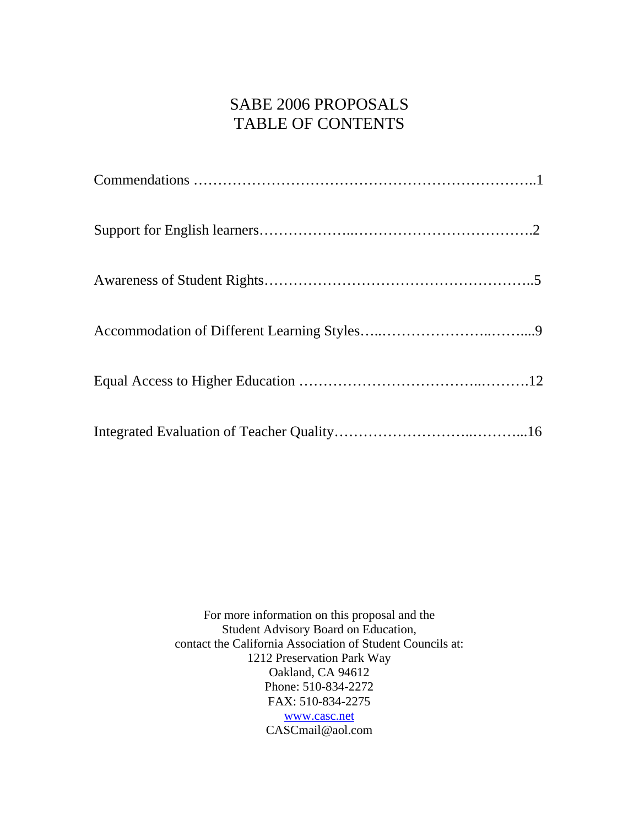## SABE 2006 PROPOSALS TABLE OF CONTENTS

For more information on this proposal and the Student Advisory Board on Education, contact the California Association of Student Councils at: 1212 Preservation Park Way Oakland, CA 94612 Phone: 510-834-2272 FAX: 510-834-2275 [www.casc.net](http://www.casc.net) CASCmail@aol.com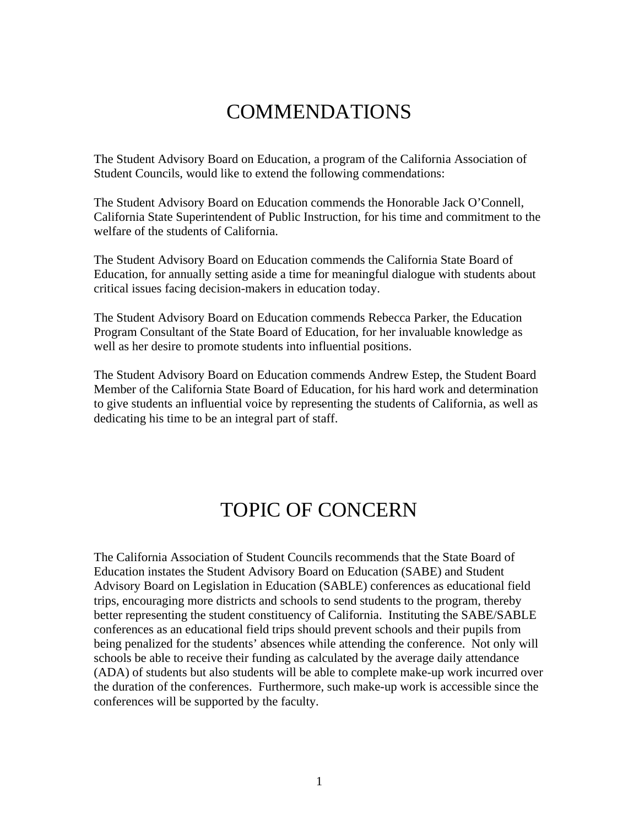# COMMENDATIONS

The Student Advisory Board on Education, a program of the California Association of Student Councils, would like to extend the following commendations:

The Student Advisory Board on Education commends the Honorable Jack O'Connell, California State Superintendent of Public Instruction, for his time and commitment to the welfare of the students of California.

The Student Advisory Board on Education commends the California State Board of Education, for annually setting aside a time for meaningful dialogue with students about critical issues facing decision-makers in education today.

The Student Advisory Board on Education commends Rebecca Parker, the Education Program Consultant of the State Board of Education, for her invaluable knowledge as well as her desire to promote students into influential positions.

The Student Advisory Board on Education commends Andrew Estep, the Student Board Member of the California State Board of Education, for his hard work and determination to give students an influential voice by representing the students of California, as well as dedicating his time to be an integral part of staff.

# TOPIC OF CONCERN

The California Association of Student Councils recommends that the State Board of Education instates the Student Advisory Board on Education (SABE) and Student Advisory Board on Legislation in Education (SABLE) conferences as educational field trips, encouraging more districts and schools to send students to the program, thereby better representing the student constituency of California. Instituting the SABE/SABLE conferences as an educational field trips should prevent schools and their pupils from being penalized for the students' absences while attending the conference. Not only will schools be able to receive their funding as calculated by the average daily attendance (ADA) of students but also students will be able to complete make-up work incurred over the duration of the conferences. Furthermore, such make-up work is accessible since the conferences will be supported by the faculty.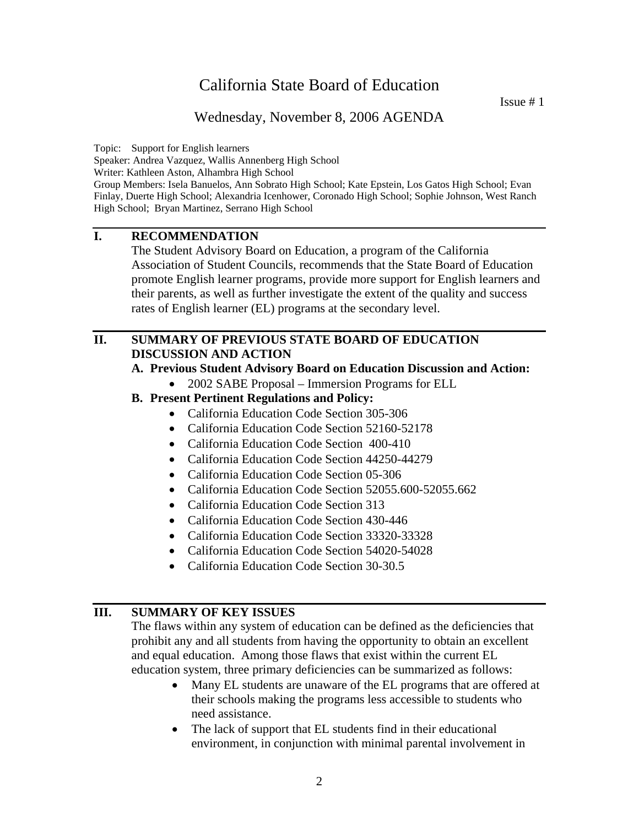Issue # 1

## Wednesday, November 8, 2006 AGENDA

Topic: Support for English learners

Speaker: Andrea Vazquez, Wallis Annenberg High School

Writer: Kathleen Aston, Alhambra High School

Group Members: Isela Banuelos, Ann Sobrato High School; Kate Epstein, Los Gatos High School; Evan Finlay, Duerte High School; Alexandria Icenhower, Coronado High School; Sophie Johnson, West Ranch High School; Bryan Martinez, Serrano High School

## **I. RECOMMENDATION**

The Student Advisory Board on Education, a program of the California Association of Student Councils, recommends that the State Board of Education promote English learner programs, provide more support for English learners and their parents, as well as further investigate the extent of the quality and success rates of English learner (EL) programs at the secondary level.

#### **II. SUMMARY OF PREVIOUS STATE BOARD OF EDUCATION DISCUSSION AND ACTION**

#### **A. Previous Student Advisory Board on Education Discussion and Action:**

- 2002 SABE Proposal Immersion Programs for ELL
- **B. Present Pertinent Regulations and Policy:** 
	- California Education Code Section 305-306
	- California [Education Code Section 52160-52178](http://www.leginfo.ca.gov/cgi-bin/waisgate?WAISdocID=99440110198+0+0+0&WAISaction=retrieve)
	- California Education Code Section [400-410](http://www.leginfo.ca.gov/cgi-bin/waisgate?WAISdocID=99440110198+1+0+0&WAISaction=retrieve)
	- California [Education Code Section 44250-44279](http://www.leginfo.ca.gov/cgi-bin/waisgate?WAISdocID=99440110198+2+0+0&WAISaction=retrieve)
	- California [Education Code Section 05-306](http://www.leginfo.ca.gov/cgi-bin/waisgate?WAISdocID=99440110198+4+0+0&WAISaction=retrieve)
	- California Education Code Section [52055.600-52055.662](http://www.leginfo.ca.gov/cgi-bin/waisgate?WAISdocID=99440110198+5+0+0&WAISaction=retrieve)
	- California Education Code Section [313](http://www.leginfo.ca.gov/cgi-bin/waisgate?WAISdocID=99440110198+6+0+0&WAISaction=retrieve)
	- California [Education Code Section 430-446](http://www.leginfo.ca.gov/cgi-bin/waisgate?WAISdocID=99440110198+7+0+0&WAISaction=retrieve)
	- California [Education Code Section 33320-33328](http://www.leginfo.ca.gov/cgi-bin/waisgate?WAISdocID=99440110198+8+0+0&WAISaction=retrieve)
	- California [Education Code Section 54020-54028](http://www.leginfo.ca.gov/cgi-bin/waisgate?WAISdocID=99440110198+10+0+0&WAISaction=retrieve)
	- California [Education Code Section 30-30.5](http://www.leginfo.ca.gov/cgi-bin/waisgate?WAISdocID=99440110198+11+0+0&WAISaction=retrieve)

#### **III. SUMMARY OF KEY ISSUES**

The flaws within any system of education can be defined as the deficiencies that prohibit any and all students from having the opportunity to obtain an excellent and equal education. Among those flaws that exist within the current EL education system, three primary deficiencies can be summarized as follows:

- Many EL students are unaware of the EL programs that are offered at their schools making the programs less accessible to students who need assistance.
- The lack of support that EL students find in their educational environment, in conjunction with minimal parental involvement in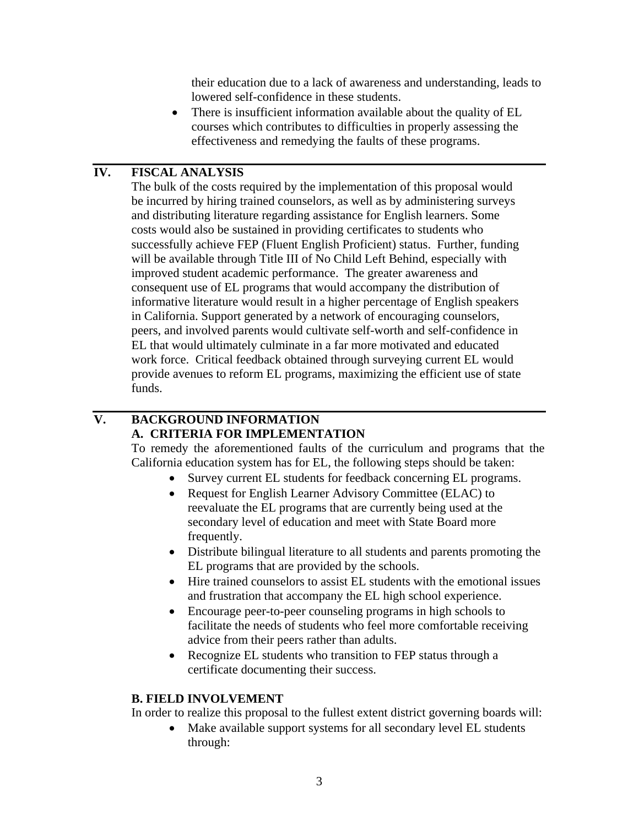their education due to a lack of awareness and understanding, leads to lowered self-confidence in these students.

• There is insufficient information available about the quality of EL courses which contributes to difficulties in properly assessing the effectiveness and remedying the faults of these programs.

## **IV. FISCAL ANALYSIS**

The bulk of the costs required by the implementation of this proposal would be incurred by hiring trained counselors, as well as by administering surveys and distributing literature regarding assistance for English learners. Some costs would also be sustained in providing certificates to students who successfully achieve FEP (Fluent English Proficient) status. Further, funding will be available through Title III of No Child Left Behind, especially with improved student academic performance. The greater awareness and consequent use of EL programs that would accompany the distribution of informative literature would result in a higher percentage of English speakers in California. Support generated by a network of encouraging counselors, peers, and involved parents would cultivate self-worth and self-confidence in EL that would ultimately culminate in a far more motivated and educated work force. Critical feedback obtained through surveying current EL would provide avenues to reform EL programs, maximizing the efficient use of state funds.

## **V. BACKGROUND INFORMATION A. CRITERIA FOR IMPLEMENTATION**

To remedy the aforementioned faults of the curriculum and programs that the California education system has for EL, the following steps should be taken:

- Survey current EL students for feedback concerning EL programs.
- Request for English Learner Advisory Committee (ELAC) to reevaluate the EL programs that are currently being used at the secondary level of education and meet with State Board more frequently.
- Distribute bilingual literature to all students and parents promoting the EL programs that are provided by the schools.
- Hire trained counselors to assist EL students with the emotional issues and frustration that accompany the EL high school experience.
- Encourage peer-to-peer counseling programs in high schools to facilitate the needs of students who feel more comfortable receiving advice from their peers rather than adults.
- Recognize EL students who transition to FEP status through a certificate documenting their success.

#### **B. FIELD INVOLVEMENT**

In order to realize this proposal to the fullest extent district governing boards will:

• Make available support systems for all secondary level EL students through: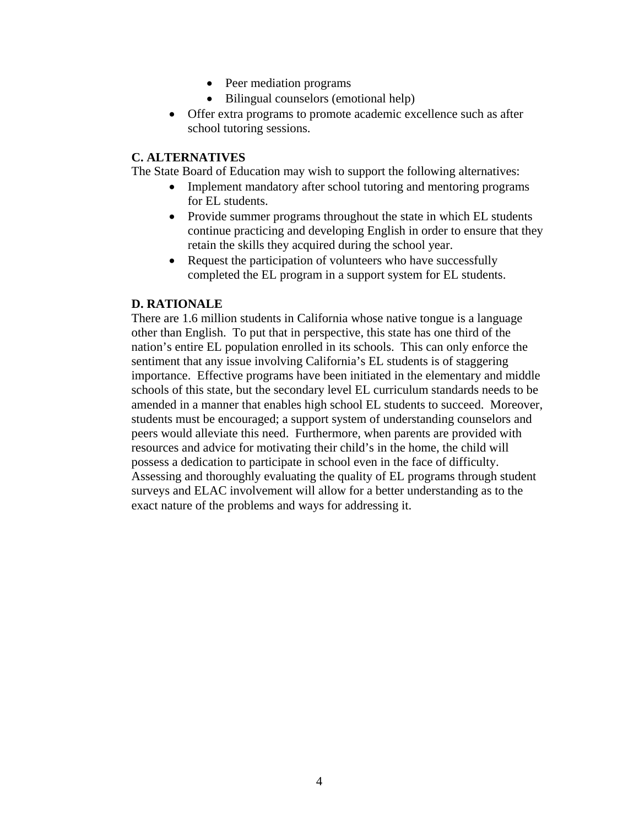- Peer mediation programs
- Bilingual counselors (emotional help)
- Offer extra programs to promote academic excellence such as after school tutoring sessions.

The State Board of Education may wish to support the following alternatives:

- Implement mandatory after school tutoring and mentoring programs for EL students.
- Provide summer programs throughout the state in which EL students continue practicing and developing English in order to ensure that they retain the skills they acquired during the school year.
- Request the participation of volunteers who have successfully completed the EL program in a support system for EL students.

### **D. RATIONALE**

There are 1.6 million students in California whose native tongue is a language other than English. To put that in perspective, this state has one third of the nation's entire EL population enrolled in its schools. This can only enforce the sentiment that any issue involving California's EL students is of staggering importance. Effective programs have been initiated in the elementary and middle schools of this state, but the secondary level EL curriculum standards needs to be amended in a manner that enables high school EL students to succeed. Moreover, students must be encouraged; a support system of understanding counselors and peers would alleviate this need. Furthermore, when parents are provided with resources and advice for motivating their child's in the home, the child will possess a dedication to participate in school even in the face of difficulty. Assessing and thoroughly evaluating the quality of EL programs through student surveys and ELAC involvement will allow for a better understanding as to the exact nature of the problems and ways for addressing it.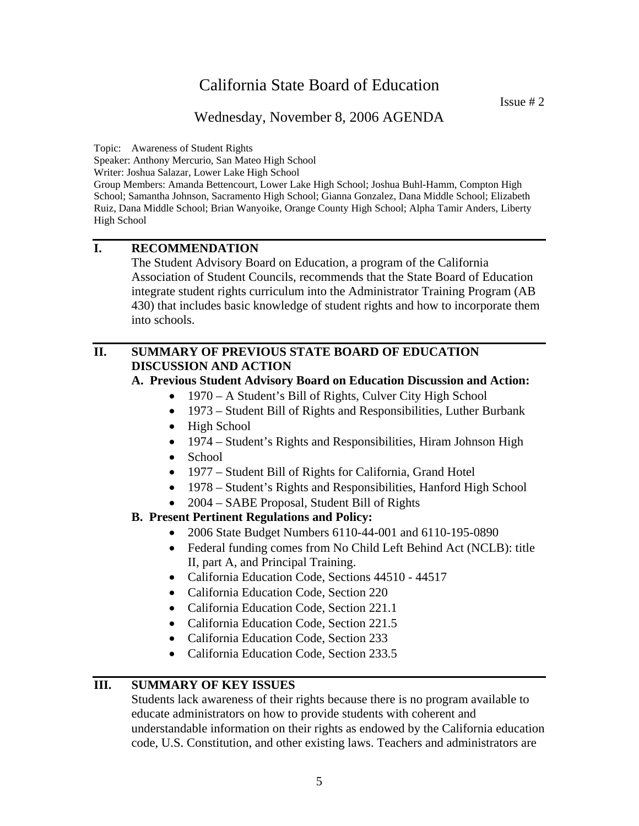## Wednesday, November 8, 2006 AGENDA

Topic: Awareness of Student Rights

Speaker: Anthony Mercurio, San Mateo High School

Writer: Joshua Salazar, Lower Lake High School

Group Members: Amanda Bettencourt, Lower Lake High School; Joshua Buhl-Hamm, Compton High School; Samantha Johnson, Sacramento High School; Gianna Gonzalez, Dana Middle School; Elizabeth Ruiz, Dana Middle School; Brian Wanyoike, Orange County High School; Alpha Tamir Anders, Liberty High School

## **I. RECOMMENDATION**

 The Student Advisory Board on Education, a program of the California Association of Student Councils, recommends that the State Board of Education integrate student rights curriculum into the Administrator Training Program (AB 430) that includes basic knowledge of student rights and how to incorporate them into schools.

### **II. SUMMARY OF PREVIOUS STATE BOARD OF EDUCATION DISCUSSION AND ACTION**

#### **A. Previous Student Advisory Board on Education Discussion and Action:**

- 1970 A Student's Bill of Rights, Culver City High School
- 1973 Student Bill of Rights and Responsibilities, Luther Burbank
- High School
- 1974 Student's Rights and Responsibilities, Hiram Johnson High
- School
- 1977 Student Bill of Rights for California, Grand Hotel
- 1978 Student's Rights and Responsibilities, Hanford High School
- 2004 SABE Proposal, Student Bill of Rights

### **B. Present Pertinent Regulations and Policy:**

- 2006 State Budget Numbers 6110-44-001 and 6110-195-0890
- Federal funding comes from No Child Left Behind Act (NCLB): title II, part A, and Principal Training.
- California Education Code, Sections 44510 44517
- California Education Code, Section 220
- California Education Code, Section 221.1
- California Education Code, Section 221.5
- California Education Code, Section 233
- California Education Code, Section 233.5

## **III. SUMMARY OF KEY ISSUES**

Students lack awareness of their rights because there is no program available to educate administrators on how to provide students with coherent and understandable information on their rights as endowed by the California education code, U.S. Constitution, and other existing laws. Teachers and administrators are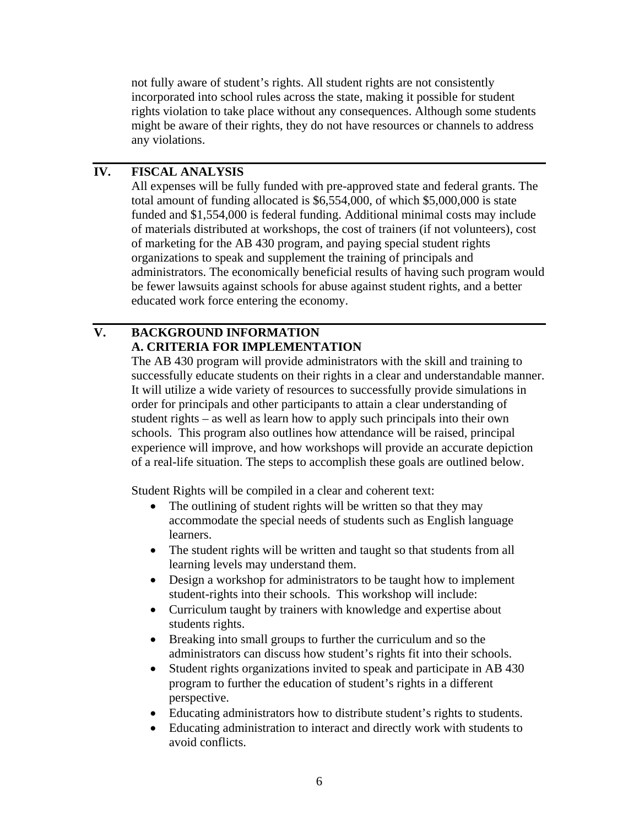not fully aware of student's rights. All student rights are not consistently incorporated into school rules across the state, making it possible for student rights violation to take place without any consequences. Although some students might be aware of their rights, they do not have resources or channels to address any violations.

## **IV. FISCAL ANALYSIS**

All expenses will be fully funded with pre-approved state and federal grants. The total amount of funding allocated is \$6,554,000, of which \$5,000,000 is state funded and \$1,554,000 is federal funding. Additional minimal costs may include of materials distributed at workshops, the cost of trainers (if not volunteers), cost of marketing for the AB 430 program, and paying special student rights organizations to speak and supplement the training of principals and administrators. The economically beneficial results of having such program would be fewer lawsuits against schools for abuse against student rights, and a better educated work force entering the economy.

## **V. BACKGROUND INFORMATION A. CRITERIA FOR IMPLEMENTATION**

The AB 430 program will provide administrators with the skill and training to successfully educate students on their rights in a clear and understandable manner. It will utilize a wide variety of resources to successfully provide simulations in order for principals and other participants to attain a clear understanding of student rights – as well as learn how to apply such principals into their own schools. This program also outlines how attendance will be raised, principal experience will improve, and how workshops will provide an accurate depiction of a real-life situation. The steps to accomplish these goals are outlined below.

Student Rights will be compiled in a clear and coherent text:

- The outlining of student rights will be written so that they may accommodate the special needs of students such as English language learners.
- The student rights will be written and taught so that students from all learning levels may understand them.
- Design a workshop for administrators to be taught how to implement student-rights into their schools. This workshop will include:
- Curriculum taught by trainers with knowledge and expertise about students rights.
- Breaking into small groups to further the curriculum and so the administrators can discuss how student's rights fit into their schools.
- Student rights organizations invited to speak and participate in AB 430 program to further the education of student's rights in a different perspective.
- Educating administrators how to distribute student's rights to students.
- Educating administration to interact and directly work with students to avoid conflicts.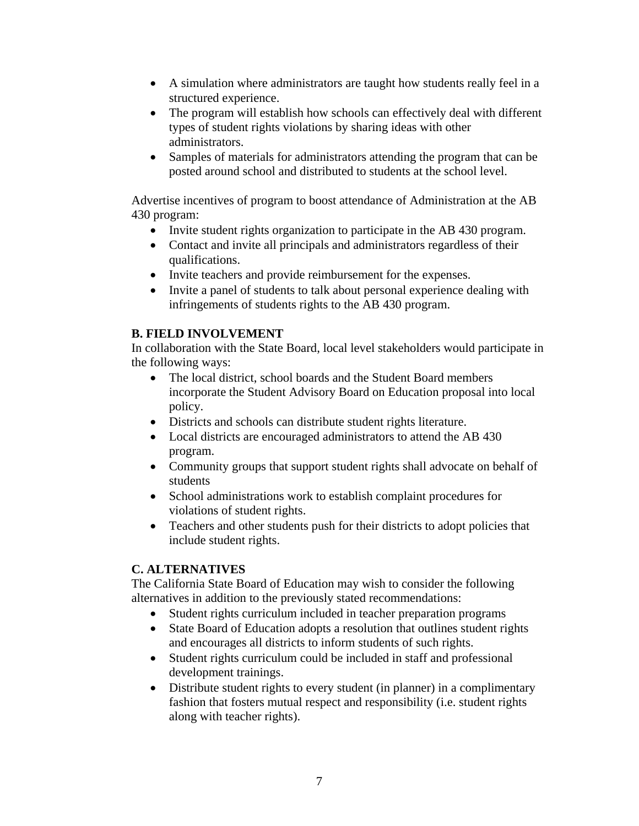- A simulation where administrators are taught how students really feel in a structured experience.
- The program will establish how schools can effectively deal with different types of student rights violations by sharing ideas with other administrators.
- Samples of materials for administrators attending the program that can be posted around school and distributed to students at the school level.

Advertise incentives of program to boost attendance of Administration at the AB 430 program:

- Invite student rights organization to participate in the AB 430 program.
- Contact and invite all principals and administrators regardless of their qualifications.
- Invite teachers and provide reimbursement for the expenses.
- Invite a panel of students to talk about personal experience dealing with infringements of students rights to the AB 430 program.

## **B. FIELD INVOLVEMENT**

In collaboration with the State Board, local level stakeholders would participate in the following ways:

- The local district, school boards and the Student Board members incorporate the Student Advisory Board on Education proposal into local policy.
- Districts and schools can distribute student rights literature.
- Local districts are encouraged administrators to attend the AB 430 program.
- Community groups that support student rights shall advocate on behalf of students
- School administrations work to establish complaint procedures for violations of student rights.
- Teachers and other students push for their districts to adopt policies that include student rights.

## **C. ALTERNATIVES**

The California State Board of Education may wish to consider the following alternatives in addition to the previously stated recommendations:

- Student rights curriculum included in teacher preparation programs
- State Board of Education adopts a resolution that outlines student rights and encourages all districts to inform students of such rights.
- Student rights curriculum could be included in staff and professional development trainings.
- Distribute student rights to every student (in planner) in a complimentary fashion that fosters mutual respect and responsibility (i.e. student rights along with teacher rights).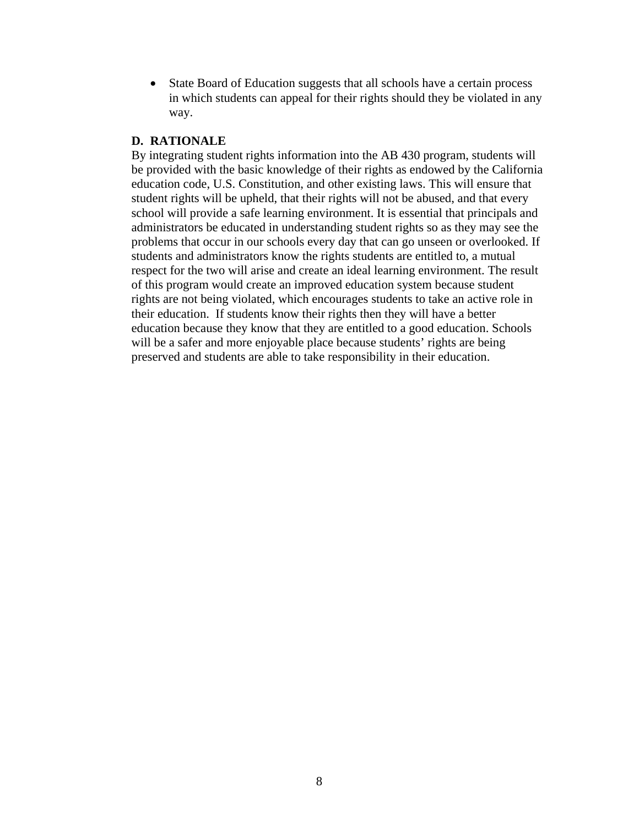• State Board of Education suggests that all schools have a certain process in which students can appeal for their rights should they be violated in any way.

#### **D. RATIONALE**

By integrating student rights information into the AB 430 program, students will be provided with the basic knowledge of their rights as endowed by the California education code, U.S. Constitution, and other existing laws. This will ensure that student rights will be upheld, that their rights will not be abused, and that every school will provide a safe learning environment. It is essential that principals and administrators be educated in understanding student rights so as they may see the problems that occur in our schools every day that can go unseen or overlooked. If students and administrators know the rights students are entitled to, a mutual respect for the two will arise and create an ideal learning environment. The result of this program would create an improved education system because student rights are not being violated, which encourages students to take an active role in their education. If students know their rights then they will have a better education because they know that they are entitled to a good education. Schools will be a safer and more enjoyable place because students' rights are being preserved and students are able to take responsibility in their education.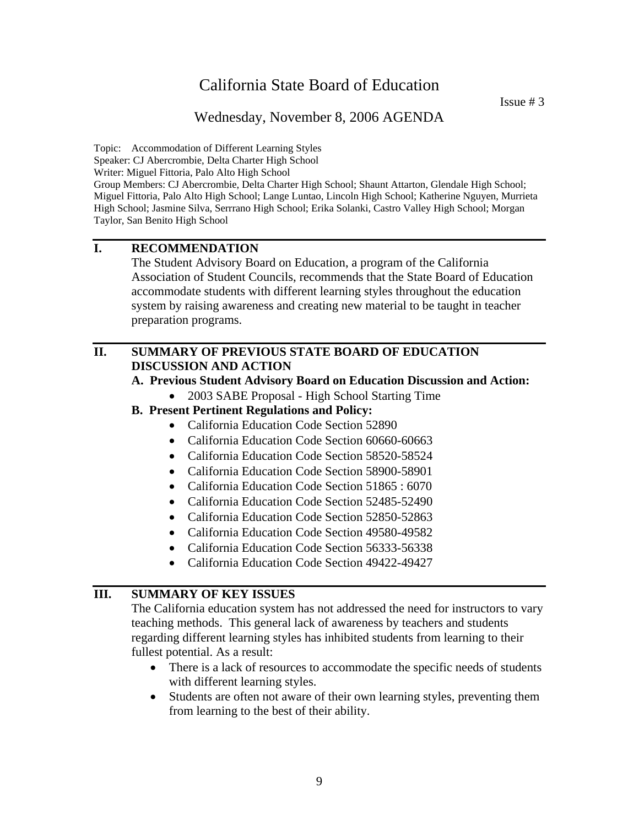Wednesday, November 8, 2006 AGENDA

Topic: Accommodation of Different Learning Styles Speaker: CJ Abercrombie, Delta Charter High School Writer: Miguel Fittoria, Palo Alto High School Group Members: CJ Abercrombie, Delta Charter High School; Shaunt Attarton, Glendale High School; Miguel Fittoria, Palo Alto High School; Lange Luntao, Lincoln High School; Katherine Nguyen, Murrieta High School; Jasmine Silva, Serrrano High School; Erika Solanki, Castro Valley High School; Morgan Taylor, San Benito High School

## **I. RECOMMENDATION**

The Student Advisory Board on Education, a program of the California Association of Student Councils, recommends that the State Board of Education accommodate students with different learning styles throughout the education system by raising awareness and creating new material to be taught in teacher preparation programs.

#### **II. SUMMARY OF PREVIOUS STATE BOARD OF EDUCATION DISCUSSION AND ACTION**

#### **A. Previous Student Advisory Board on Education Discussion and Action:**

- 2003 SABE Proposal High School Starting Time
- **B. Present Pertinent Regulations and Policy:** 
	- California Education Code Section 52890
	- California Education Code Section 60660-60663
	- California Education Code Section 58520-58524
	- California Education Code Section 58900-58901
	- California Education Code Section 51865 : 6070
	- California Education Code Section 52485-52490
	- California Education Code Section 52850-52863
	- California Education Code Section 49580-49582
	- California Education Code Section 56333-56338
	- California Education Code Section 49422-49427

### **III. SUMMARY OF KEY ISSUES**

The California education system has not addressed the need for instructors to vary teaching methods. This general lack of awareness by teachers and students regarding different learning styles has inhibited students from learning to their fullest potential. As a result:

- There is a lack of resources to accommodate the specific needs of students with different learning styles.
- Students are often not aware of their own learning styles, preventing them from learning to the best of their ability.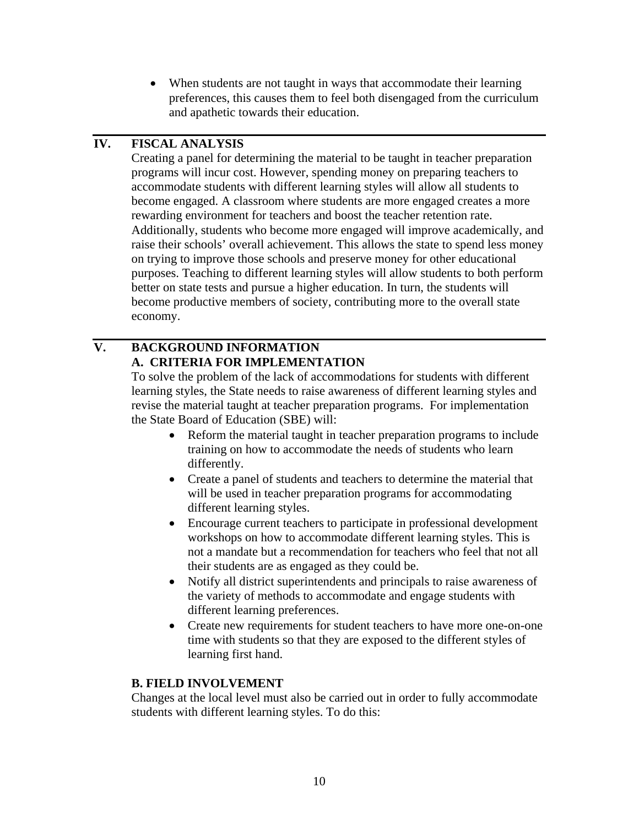• When students are not taught in ways that accommodate their learning preferences, this causes them to feel both disengaged from the curriculum and apathetic towards their education.

## **IV. FISCAL ANALYSIS**

Creating a panel for determining the material to be taught in teacher preparation programs will incur cost. However, spending money on preparing teachers to accommodate students with different learning styles will allow all students to become engaged. A classroom where students are more engaged creates a more rewarding environment for teachers and boost the teacher retention rate. Additionally, students who become more engaged will improve academically, and raise their schools' overall achievement. This allows the state to spend less money on trying to improve those schools and preserve money for other educational purposes. Teaching to different learning styles will allow students to both perform better on state tests and pursue a higher education. In turn, the students will become productive members of society, contributing more to the overall state economy.

## **V. BACKGROUND INFORMATION A. CRITERIA FOR IMPLEMENTATION**

To solve the problem of the lack of accommodations for students with different learning styles, the State needs to raise awareness of different learning styles and revise the material taught at teacher preparation programs. For implementation the State Board of Education (SBE) will:

- Reform the material taught in teacher preparation programs to include training on how to accommodate the needs of students who learn differently.
- Create a panel of students and teachers to determine the material that will be used in teacher preparation programs for accommodating different learning styles.
- Encourage current teachers to participate in professional development workshops on how to accommodate different learning styles. This is not a mandate but a recommendation for teachers who feel that not all their students are as engaged as they could be.
- Notify all district superintendents and principals to raise awareness of the variety of methods to accommodate and engage students with different learning preferences.
- Create new requirements for student teachers to have more one-on-one time with students so that they are exposed to the different styles of learning first hand.

### **B. FIELD INVOLVEMENT**

Changes at the local level must also be carried out in order to fully accommodate students with different learning styles. To do this: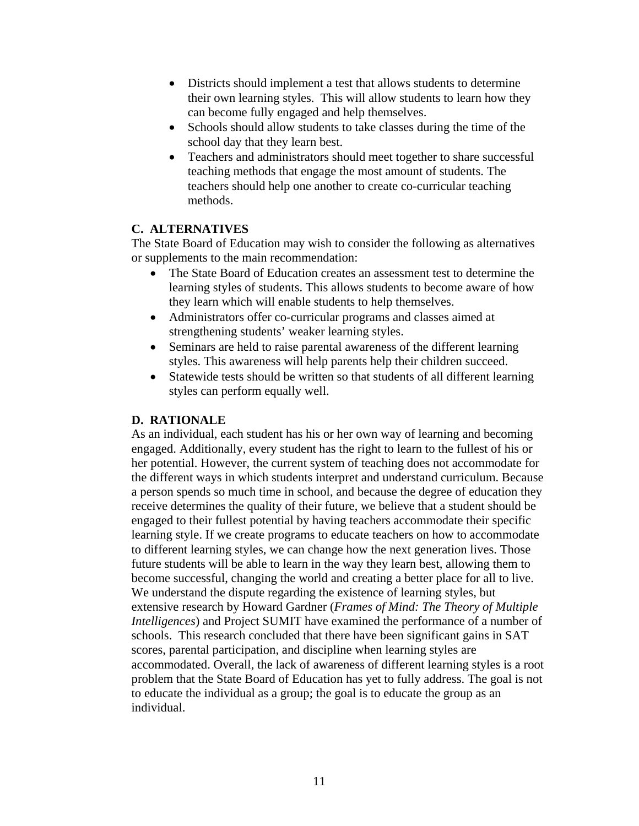- Districts should implement a test that allows students to determine their own learning styles. This will allow students to learn how they can become fully engaged and help themselves.
- Schools should allow students to take classes during the time of the school day that they learn best.
- Teachers and administrators should meet together to share successful teaching methods that engage the most amount of students. The teachers should help one another to create co-curricular teaching methods.

The State Board of Education may wish to consider the following as alternatives or supplements to the main recommendation:

- The State Board of Education creates an assessment test to determine the learning styles of students. This allows students to become aware of how they learn which will enable students to help themselves.
- Administrators offer co-curricular programs and classes aimed at strengthening students' weaker learning styles.
- Seminars are held to raise parental awareness of the different learning styles. This awareness will help parents help their children succeed.
- Statewide tests should be written so that students of all different learning styles can perform equally well.

#### **D. RATIONALE**

As an individual, each student has his or her own way of learning and becoming engaged. Additionally, every student has the right to learn to the fullest of his or her potential. However, the current system of teaching does not accommodate for the different ways in which students interpret and understand curriculum. Because a person spends so much time in school, and because the degree of education they receive determines the quality of their future, we believe that a student should be engaged to their fullest potential by having teachers accommodate their specific learning style. If we create programs to educate teachers on how to accommodate to different learning styles, we can change how the next generation lives. Those future students will be able to learn in the way they learn best, allowing them to become successful, changing the world and creating a better place for all to live. We understand the dispute regarding the existence of learning styles, but extensive research by Howard Gardner (*Frames of Mind: The Theory of Multiple Intelligences*) and Project SUMIT have examined the performance of a number of schools. This research concluded that there have been significant gains in SAT scores, parental participation, and discipline when learning styles are accommodated. Overall, the lack of awareness of different learning styles is a root problem that the State Board of Education has yet to fully address. The goal is not to educate the individual as a group; the goal is to educate the group as an individual.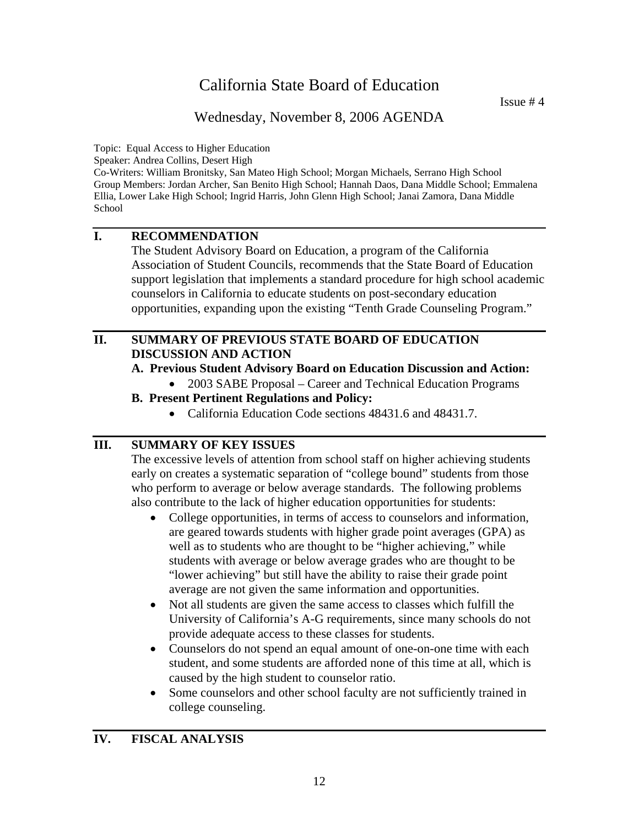## Wednesday, November 8, 2006 AGENDA

Topic: Equal Access to Higher Education

Speaker: Andrea Collins, Desert High

Co-Writers: William Bronitsky, San Mateo High School; Morgan Michaels, Serrano High School Group Members: Jordan Archer, San Benito High School; Hannah Daos, Dana Middle School; Emmalena Ellia, Lower Lake High School; Ingrid Harris, John Glenn High School; Janai Zamora, Dana Middle School

## **I. RECOMMENDATION**

The Student Advisory Board on Education, a program of the California Association of Student Councils, recommends that the State Board of Education support legislation that implements a standard procedure for high school academic counselors in California to educate students on post-secondary education opportunities, expanding upon the existing "Tenth Grade Counseling Program."

## **II. SUMMARY OF PREVIOUS STATE BOARD OF EDUCATION DISCUSSION AND ACTION**

#### **A. Previous Student Advisory Board on Education Discussion and Action:**

- 2003 SABE Proposal Career and Technical Education Programs
- **B. Present Pertinent Regulations and Policy:** 
	- California Education Code sections 48431.6 and 48431.7.

### **III. SUMMARY OF KEY ISSUES**

The excessive levels of attention from school staff on higher achieving students early on creates a systematic separation of "college bound" students from those who perform to average or below average standards. The following problems also contribute to the lack of higher education opportunities for students:

- College opportunities, in terms of access to counselors and information, are geared towards students with higher grade point averages (GPA) as well as to students who are thought to be "higher achieving," while students with average or below average grades who are thought to be "lower achieving" but still have the ability to raise their grade point average are not given the same information and opportunities.
- Not all students are given the same access to classes which fulfill the University of California's A-G requirements, since many schools do not provide adequate access to these classes for students.
- Counselors do not spend an equal amount of one-on-one time with each student, and some students are afforded none of this time at all, which is caused by the high student to counselor ratio.
- Some counselors and other school faculty are not sufficiently trained in college counseling.

### **IV. FISCAL ANALYSIS**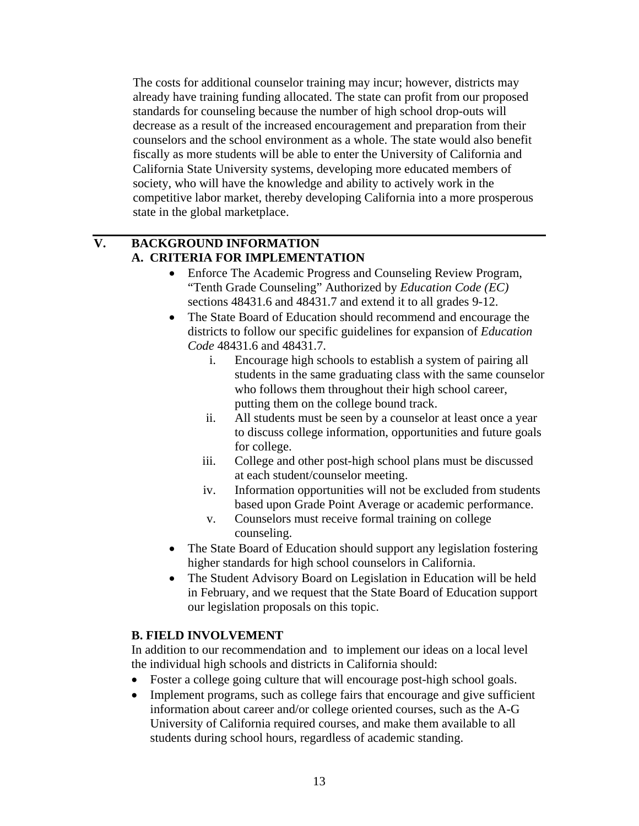The costs for additional counselor training may incur; however, districts may already have training funding allocated. The state can profit from our proposed standards for counseling because the number of high school drop-outs will decrease as a result of the increased encouragement and preparation from their counselors and the school environment as a whole. The state would also benefit fiscally as more students will be able to enter the University of California and California State University systems, developing more educated members of society, who will have the knowledge and ability to actively work in the competitive labor market, thereby developing California into a more prosperous state in the global marketplace.

## **V. BACKGROUND INFORMATION A. CRITERIA FOR IMPLEMENTATION**

- Enforce The Academic Progress and Counseling Review Program, "Tenth Grade Counseling" Authorized by *Education Code (EC)* sections 48431.6 and 48431.7 and extend it to all grades 9-12.
- The State Board of Education should recommend and encourage the districts to follow our specific guidelines for expansion of *Education Code* 48431.6 and 48431.7.
	- i. Encourage high schools to establish a system of pairing all students in the same graduating class with the same counselor who follows them throughout their high school career, putting them on the college bound track.
	- ii. All students must be seen by a counselor at least once a year to discuss college information, opportunities and future goals for college.
	- iii. College and other post-high school plans must be discussed at each student/counselor meeting.
	- iv. Information opportunities will not be excluded from students based upon Grade Point Average or academic performance.
	- v. Counselors must receive formal training on college counseling.
- The State Board of Education should support any legislation fostering higher standards for high school counselors in California.
- The Student Advisory Board on Legislation in Education will be held in February, and we request that the State Board of Education support our legislation proposals on this topic.

## **B. FIELD INVOLVEMENT**

In addition to our recommendation and to implement our ideas on a local level the individual high schools and districts in California should:

- Foster a college going culture that will encourage post-high school goals.
- Implement programs, such as college fairs that encourage and give sufficient information about career and/or college oriented courses, such as the A-G University of California required courses, and make them available to all students during school hours, regardless of academic standing.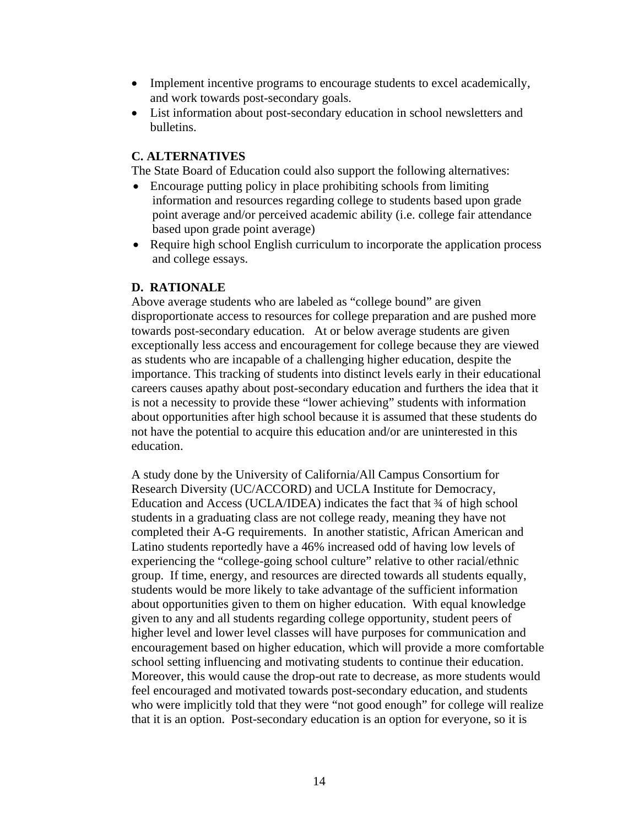- Implement incentive programs to encourage students to excel academically, and work towards post-secondary goals.
- List information about post-secondary education in school newsletters and bulletins.

The State Board of Education could also support the following alternatives:

- Encourage putting policy in place prohibiting schools from limiting information and resources regarding college to students based upon grade point average and/or perceived academic ability (i.e. college fair attendance based upon grade point average)
- Require high school English curriculum to incorporate the application process and college essays.

#### **D. RATIONALE**

Above average students who are labeled as "college bound" are given disproportionate access to resources for college preparation and are pushed more towards post-secondary education. At or below average students are given exceptionally less access and encouragement for college because they are viewed as students who are incapable of a challenging higher education, despite the importance. This tracking of students into distinct levels early in their educational careers causes apathy about post-secondary education and furthers the idea that it is not a necessity to provide these "lower achieving" students with information about opportunities after high school because it is assumed that these students do not have the potential to acquire this education and/or are uninterested in this education.

A study done by the University of California/All Campus Consortium for Research Diversity (UC/ACCORD) and UCLA Institute for Democracy, Education and Access (UCLA/IDEA) indicates the fact that ¾ of high school students in a graduating class are not college ready, meaning they have not completed their A-G requirements. In another statistic, African American and Latino students reportedly have a 46% increased odd of having low levels of experiencing the "college-going school culture" relative to other racial/ethnic group. If time, energy, and resources are directed towards all students equally, students would be more likely to take advantage of the sufficient information about opportunities given to them on higher education. With equal knowledge given to any and all students regarding college opportunity, student peers of higher level and lower level classes will have purposes for communication and encouragement based on higher education, which will provide a more comfortable school setting influencing and motivating students to continue their education. Moreover, this would cause the drop-out rate to decrease, as more students would feel encouraged and motivated towards post-secondary education, and students who were implicitly told that they were "not good enough" for college will realize that it is an option. Post-secondary education is an option for everyone, so it is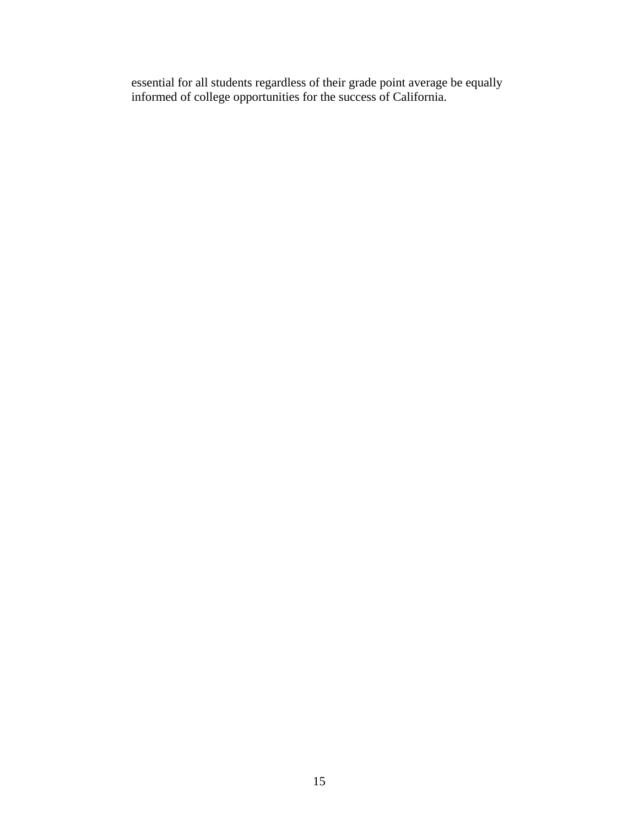essential for all students regardless of their grade point average be equally informed of college opportunities for the success of California.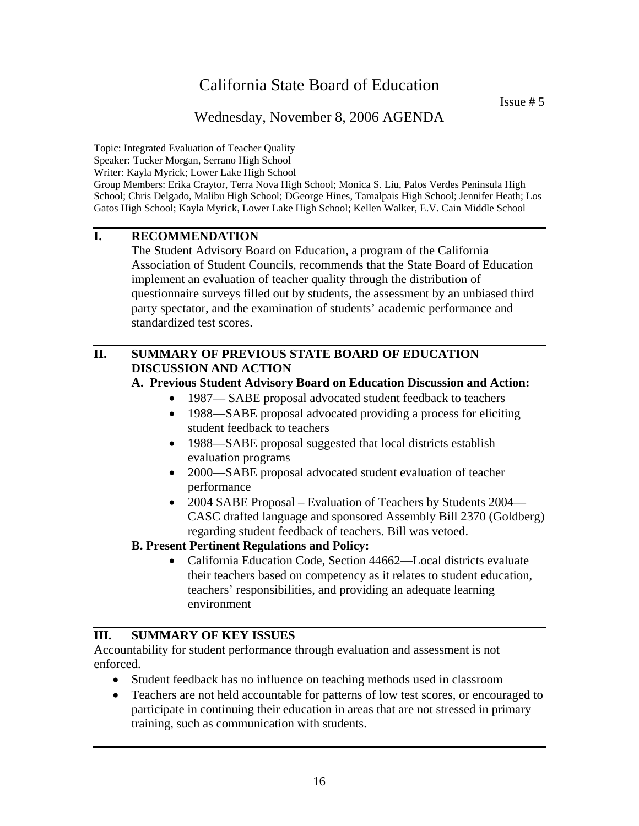Issue # 5

## Wednesday, November 8, 2006 AGENDA

Topic: Integrated Evaluation of Teacher Quality Speaker: Tucker Morgan, Serrano High School Writer: Kayla Myrick; Lower Lake High School Group Members: Erika Craytor, Terra Nova High School; Monica S. Liu, Palos Verdes Peninsula High School; Chris Delgado, Malibu High School; DGeorge Hines, Tamalpais High School; Jennifer Heath; Los Gatos High School; Kayla Myrick, Lower Lake High School; Kellen Walker, E.V. Cain Middle School

## **I. RECOMMENDATION**

 The Student Advisory Board on Education, a program of the California Association of Student Councils, recommends that the State Board of Education implement an evaluation of teacher quality through the distribution of questionnaire surveys filled out by students, the assessment by an unbiased third party spectator, and the examination of students' academic performance and standardized test scores.

## **II. SUMMARY OF PREVIOUS STATE BOARD OF EDUCATION DISCUSSION AND ACTION**

### **A. Previous Student Advisory Board on Education Discussion and Action:**

- 1987— SABE proposal advocated student feedback to teachers
- 1988—SABE proposal advocated providing a process for eliciting student feedback to teachers
- 1988—SABE proposal suggested that local districts establish evaluation programs
- 2000—SABE proposal advocated student evaluation of teacher performance
- 2004 SABE Proposal Evaluation of Teachers by Students 2004— CASC drafted language and sponsored Assembly Bill 2370 (Goldberg) regarding student feedback of teachers. Bill was vetoed.

### **B. Present Pertinent Regulations and Policy:**

• California Education Code, Section 44662—Local districts evaluate their teachers based on competency as it relates to student education, teachers' responsibilities, and providing an adequate learning environment

### **III. SUMMARY OF KEY ISSUES**

Accountability for student performance through evaluation and assessment is not enforced.

- Student feedback has no influence on teaching methods used in classroom
- Teachers are not held accountable for patterns of low test scores, or encouraged to participate in continuing their education in areas that are not stressed in primary training, such as communication with students.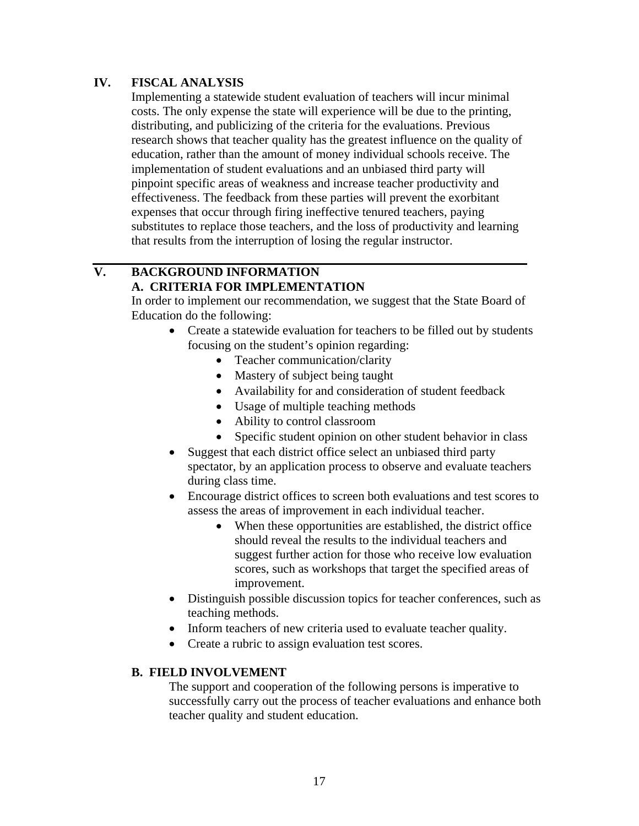## **IV. FISCAL ANALYSIS**

Implementing a statewide student evaluation of teachers will incur minimal costs. The only expense the state will experience will be due to the printing, distributing, and publicizing of the criteria for the evaluations. Previous research shows that teacher quality has the greatest influence on the quality of education, rather than the amount of money individual schools receive. The implementation of student evaluations and an unbiased third party will pinpoint specific areas of weakness and increase teacher productivity and effectiveness. The feedback from these parties will prevent the exorbitant expenses that occur through firing ineffective tenured teachers, paying substitutes to replace those teachers, and the loss of productivity and learning that results from the interruption of losing the regular instructor.

## **V. BACKGROUND INFORMATION A. CRITERIA FOR IMPLEMENTATION**

In order to implement our recommendation, we suggest that the State Board of Education do the following:

- Create a statewide evaluation for teachers to be filled out by students focusing on the student's opinion regarding:
	- Teacher communication/clarity
	- Mastery of subject being taught
	- Availability for and consideration of student feedback
	- Usage of multiple teaching methods
	- Ability to control classroom
	- Specific student opinion on other student behavior in class
- Suggest that each district office select an unbiased third party spectator, by an application process to observe and evaluate teachers during class time.
- Encourage district offices to screen both evaluations and test scores to assess the areas of improvement in each individual teacher.
	- When these opportunities are established, the district office should reveal the results to the individual teachers and suggest further action for those who receive low evaluation scores, such as workshops that target the specified areas of improvement.
- Distinguish possible discussion topics for teacher conferences, such as teaching methods.
- Inform teachers of new criteria used to evaluate teacher quality.
- Create a rubric to assign evaluation test scores.

### **B. FIELD INVOLVEMENT**

The support and cooperation of the following persons is imperative to successfully carry out the process of teacher evaluations and enhance both teacher quality and student education.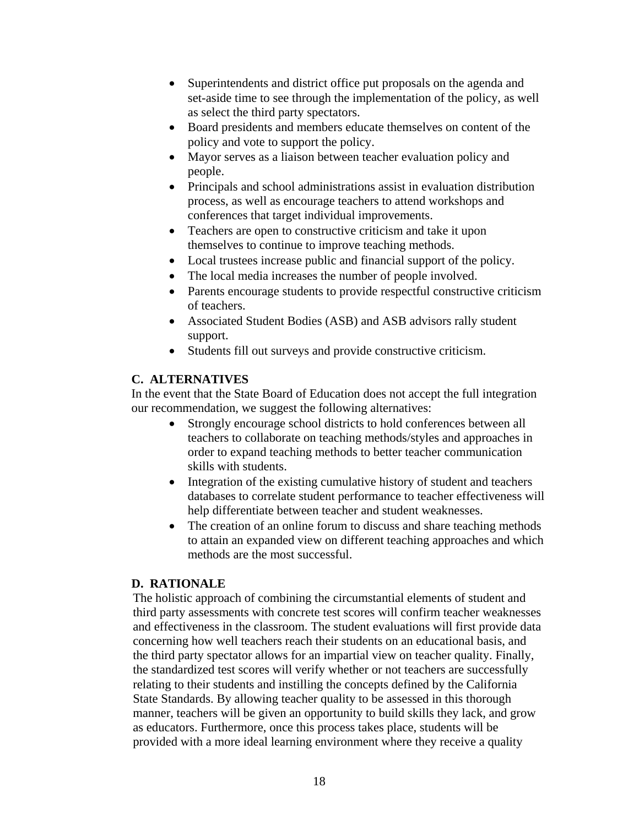- Superintendents and district office put proposals on the agenda and set-aside time to see through the implementation of the policy, as well as select the third party spectators.
- Board presidents and members educate themselves on content of the policy and vote to support the policy.
- Mayor serves as a liaison between teacher evaluation policy and people.
- Principals and school administrations assist in evaluation distribution process, as well as encourage teachers to attend workshops and conferences that target individual improvements.
- Teachers are open to constructive criticism and take it upon themselves to continue to improve teaching methods.
- Local trustees increase public and financial support of the policy.
- The local media increases the number of people involved.
- Parents encourage students to provide respectful constructive criticism of teachers.
- Associated Student Bodies (ASB) and ASB advisors rally student support.
- Students fill out surveys and provide constructive criticism.

In the event that the State Board of Education does not accept the full integration our recommendation, we suggest the following alternatives:

- Strongly encourage school districts to hold conferences between all teachers to collaborate on teaching methods/styles and approaches in order to expand teaching methods to better teacher communication skills with students.
- Integration of the existing cumulative history of student and teachers databases to correlate student performance to teacher effectiveness will help differentiate between teacher and student weaknesses.
- The creation of an online forum to discuss and share teaching methods to attain an expanded view on different teaching approaches and which methods are the most successful.

## **D. RATIONALE**

The holistic approach of combining the circumstantial elements of student and third party assessments with concrete test scores will confirm teacher weaknesses and effectiveness in the classroom. The student evaluations will first provide data concerning how well teachers reach their students on an educational basis, and the third party spectator allows for an impartial view on teacher quality. Finally, the standardized test scores will verify whether or not teachers are successfully relating to their students and instilling the concepts defined by the California State Standards. By allowing teacher quality to be assessed in this thorough manner, teachers will be given an opportunity to build skills they lack, and grow as educators. Furthermore, once this process takes place, students will be provided with a more ideal learning environment where they receive a quality